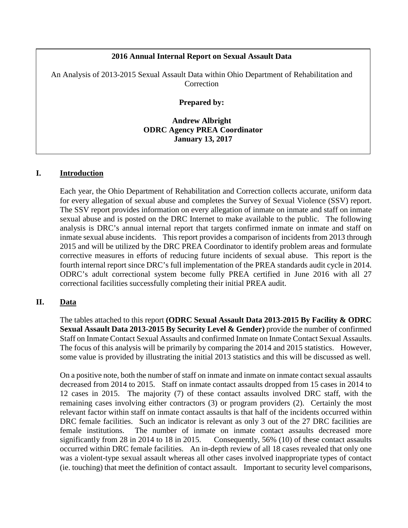# **2016 Annual Internal Report on Sexual Assault Data**

An Analysis of 2013-2015 Sexual Assault Data within Ohio Department of Rehabilitation and **Correction** 

#### **Prepared by:**

**Andrew Albright ODRC Agency PREA Coordinator January 13, 2017**

#### **I. Introduction**

Each year, the Ohio Department of Rehabilitation and Correction collects accurate, uniform data for every allegation of sexual abuse and completes the Survey of Sexual Violence (SSV) report. The SSV report provides information on every allegation of inmate on inmate and staff on inmate sexual abuse and is posted on the DRC Internet to make available to the public. The following analysis is DRC's annual internal report that targets confirmed inmate on inmate and staff on inmate sexual abuse incidents. This report provides a comparison of incidents from 2013 through 2015 and will be utilized by the DRC PREA Coordinator to identify problem areas and formulate corrective measures in efforts of reducing future incidents of sexual abuse. This report is the fourth internal report since DRC's full implementation of the PREA standards audit cycle in 2014. ODRC's adult correctional system become fully PREA certified in June 2016 with all 27 correctional facilities successfully completing their initial PREA audit.

## **II. Data**

The tables attached to this report **(ODRC Sexual Assault Data 2013-2015 By Facility & ODRC Sexual Assault Data 2013-2015 By Security Level & Gender)** provide the number of confirmed Staff on Inmate Contact Sexual Assaults and confirmed Inmate on Inmate Contact Sexual Assaults. The focus of this analysis will be primarily by comparing the 2014 and 2015 statistics. However, some value is provided by illustrating the initial 2013 statistics and this will be discussed as well.

On a positive note, both the number of staff on inmate and inmate on inmate contact sexual assaults decreased from 2014 to 2015. Staff on inmate contact assaults dropped from 15 cases in 2014 to 12 cases in 2015. The majority (7) of these contact assaults involved DRC staff, with the remaining cases involving either contractors (3) or program providers (2). Certainly the most relevant factor within staff on inmate contact assaults is that half of the incidents occurred within DRC female facilities. Such an indicator is relevant as only 3 out of the 27 DRC facilities are female institutions. The number of inmate on inmate contact assaults decreased more significantly from 28 in 2014 to 18 in 2015. Consequently, 56% (10) of these contact assaults occurred within DRC female facilities. An in-depth review of all 18 cases revealed that only one was a violent-type sexual assault whereas all other cases involved inappropriate types of contact (ie. touching) that meet the definition of contact assault. Important to security level comparisons,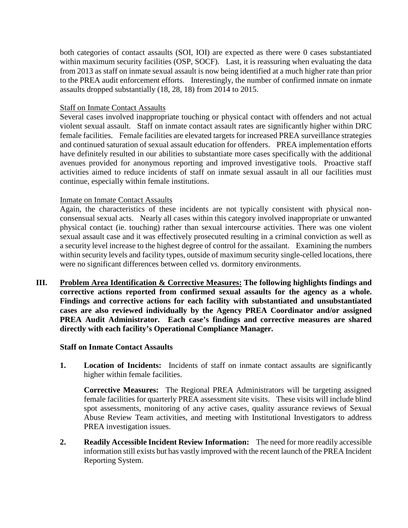both categories of contact assaults (SOI, IOI) are expected as there were 0 cases substantiated within maximum security facilities (OSP, SOCF). Last, it is reassuring when evaluating the data from 2013 as staff on inmate sexual assault is now being identified at a much higher rate than prior to the PREA audit enforcement efforts. Interestingly, the number of confirmed inmate on inmate assaults dropped substantially (18, 28, 18) from 2014 to 2015.

# Staff on Inmate Contact Assaults

Several cases involved inappropriate touching or physical contact with offenders and not actual violent sexual assault. Staff on inmate contact assault rates are significantly higher within DRC female facilities. Female facilities are elevated targets for increased PREA surveillance strategies and continued saturation of sexual assault education for offenders. PREA implementation efforts have definitely resulted in our abilities to substantiate more cases specifically with the additional avenues provided for anonymous reporting and improved investigative tools. Proactive staff activities aimed to reduce incidents of staff on inmate sexual assault in all our facilities must continue, especially within female institutions.

# Inmate on Inmate Contact Assaults

Again, the characteristics of these incidents are not typically consistent with physical nonconsensual sexual acts. Nearly all cases within this category involved inappropriate or unwanted physical contact (ie. touching) rather than sexual intercourse activities. There was one violent sexual assault case and it was effectively prosecuted resulting in a criminal conviction as well as a security level increase to the highest degree of control for the assailant. Examining the numbers within security levels and facility types, outside of maximum security single-celled locations, there were no significant differences between celled vs. dormitory environments.

**III. Problem Area Identification & Corrective Measures: The following highlights findings and corrective actions reported from confirmed sexual assaults for the agency as a whole. Findings and corrective actions for each facility with substantiated and unsubstantiated cases are also reviewed individually by the Agency PREA Coordinator and/or assigned PREA Audit Administrator. Each case's findings and corrective measures are shared directly with each facility's Operational Compliance Manager.** 

## **Staff on Inmate Contact Assaults**

**1.** Location of Incidents: Incidents of staff on inmate contact assaults are significantly higher within female facilities.

**Corrective Measures:** The Regional PREA Administrators will be targeting assigned female facilities for quarterly PREA assessment site visits. These visits will include blind spot assessments, monitoring of any active cases, quality assurance reviews of Sexual Abuse Review Team activities, and meeting with Institutional Investigators to address PREA investigation issues.

**2. Readily Accessible Incident Review Information:** The need for more readily accessible information still exists but has vastly improved with the recent launch of the PREA Incident Reporting System.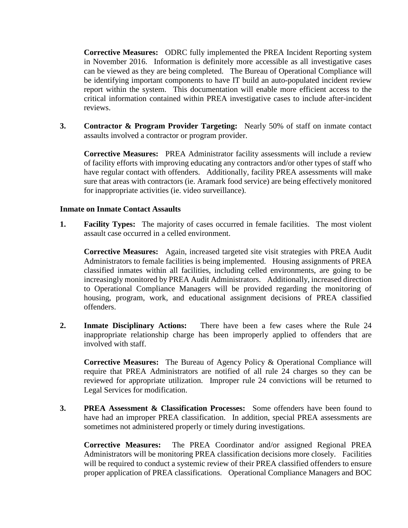**Corrective Measures:** ODRC fully implemented the PREA Incident Reporting system in November 2016. Information is definitely more accessible as all investigative cases can be viewed as they are being completed. The Bureau of Operational Compliance will be identifying important components to have IT build an auto-populated incident review report within the system. This documentation will enable more efficient access to the critical information contained within PREA investigative cases to include after-incident reviews.

**3. Contractor & Program Provider Targeting:** Nearly 50% of staff on inmate contact assaults involved a contractor or program provider.

**Corrective Measures:** PREA Administrator facility assessments will include a review of facility efforts with improving educating any contractors and/or other types of staff who have regular contact with offenders. Additionally, facility PREA assessments will make sure that areas with contractors (ie. Aramark food service) are being effectively monitored for inappropriate activities (ie. video surveillance).

## **Inmate on Inmate Contact Assaults**

**1. Facility Types:** The majority of cases occurred in female facilities. The most violent assault case occurred in a celled environment.

**Corrective Measures:** Again, increased targeted site visit strategies with PREA Audit Administrators to female facilities is being implemented. Housing assignments of PREA classified inmates within all facilities, including celled environments, are going to be increasingly monitored by PREA Audit Administrators. Additionally, increased direction to Operational Compliance Managers will be provided regarding the monitoring of housing, program, work, and educational assignment decisions of PREA classified offenders.

**2. Inmate Disciplinary Actions:** There have been a few cases where the Rule 24 inappropriate relationship charge has been improperly applied to offenders that are involved with staff.

**Corrective Measures:** The Bureau of Agency Policy & Operational Compliance will require that PREA Administrators are notified of all rule 24 charges so they can be reviewed for appropriate utilization. Improper rule 24 convictions will be returned to Legal Services for modification.

**3. PREA Assessment & Classification Processes:** Some offenders have been found to have had an improper PREA classification. In addition, special PREA assessments are sometimes not administered properly or timely during investigations.

**Corrective Measures:** The PREA Coordinator and/or assigned Regional PREA Administrators will be monitoring PREA classification decisions more closely. Facilities will be required to conduct a systemic review of their PREA classified offenders to ensure proper application of PREA classifications. Operational Compliance Managers and BOC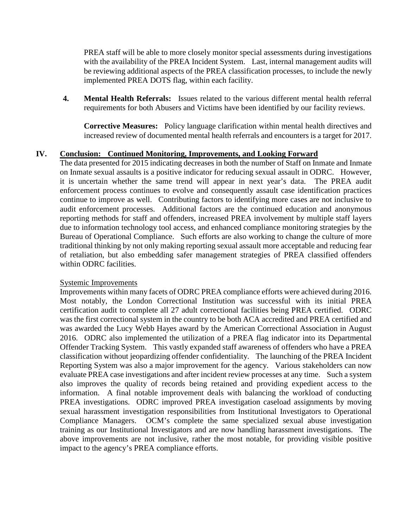PREA staff will be able to more closely monitor special assessments during investigations with the availability of the PREA Incident System. Last, internal management audits will be reviewing additional aspects of the PREA classification processes, to include the newly implemented PREA DOTS flag, within each facility.

**4. Mental Health Referrals:** Issues related to the various different mental health referral requirements for both Abusers and Victims have been identified by our facility reviews.

**Corrective Measures:** Policy language clarification within mental health directives and increased review of documented mental health referrals and encounters is a target for 2017.

# **IV. Conclusion: Continued Monitoring, Improvements, and Looking Forward**

The data presented for 2015 indicating decreases in both the number of Staff on Inmate and Inmate on Inmate sexual assaults is a positive indicator for reducing sexual assault in ODRC. However, it is uncertain whether the same trend will appear in next year's data. The PREA audit enforcement process continues to evolve and consequently assault case identification practices continue to improve as well. Contributing factors to identifying more cases are not inclusive to audit enforcement processes. Additional factors are the continued education and anonymous reporting methods for staff and offenders, increased PREA involvement by multiple staff layers due to information technology tool access, and enhanced compliance monitoring strategies by the Bureau of Operational Compliance. Such efforts are also working to change the culture of more traditional thinking by not only making reporting sexual assault more acceptable and reducing fear of retaliation, but also embedding safer management strategies of PREA classified offenders within ODRC facilities.

## Systemic Improvements

Improvements within many facets of ODRC PREA compliance efforts were achieved during 2016. Most notably, the London Correctional Institution was successful with its initial PREA certification audit to complete all 27 adult correctional facilities being PREA certified. ODRC was the first correctional system in the country to be both ACA accredited and PREA certified and was awarded the Lucy Webb Hayes award by the American Correctional Association in August 2016. ODRC also implemented the utilization of a PREA flag indicator into its Departmental Offender Tracking System. This vastly expanded staff awareness of offenders who have a PREA classification without jeopardizing offender confidentiality. The launching of the PREA Incident Reporting System was also a major improvement for the agency. Various stakeholders can now evaluate PREA case investigations and after incident review processes at any time. Such a system also improves the quality of records being retained and providing expedient access to the information. A final notable improvement deals with balancing the workload of conducting PREA investigations. ODRC improved PREA investigation caseload assignments by moving sexual harassment investigation responsibilities from Institutional Investigators to Operational Compliance Managers. OCM's complete the same specialized sexual abuse investigation training as our Institutional Investigators and are now handling harassment investigations. The above improvements are not inclusive, rather the most notable, for providing visible positive impact to the agency's PREA compliance efforts.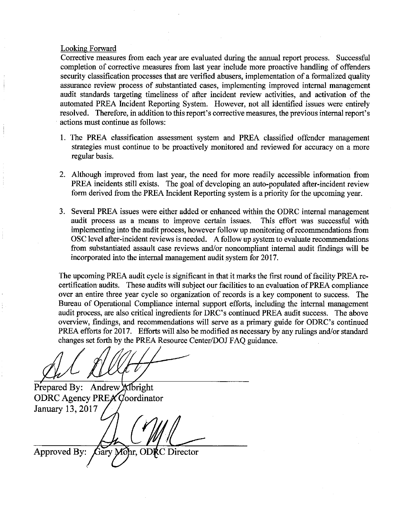#### Looking Forward

Corrective measures from each year are evaluated during the annual report process. Successful completion of corrective measures from last year include more proactive handling of offenders security classification processes that are verified abusers, implementation of a formalized quality assurance review process of substantiated cases, implementing improved internal management audit standards targeting timeliness of after incident review activities, and activation of the automated PREA Incident Reporting System. However, not all identified issues were entirely resolved. Therefore, in addition to this report's corrective measures, the previous internal report's actions must continue as follows:

- 1. The PREA classification assessment system and PREA classified offender management strategies must continue to be proactively monitored and reviewed for accuracy on a more regular basis.
- 2. Although improved from last year, the need for more readily accessible information from PREA incidents still exists. The goal of developing an auto-populated after-incident review form derived from the PREA Incident Reporting system is a priority for the upcoming year.
- 3. Several PREA issues were either added or enhanced within the ODRC internal management audit process as a means to improve certain issues. This effort was successful with implementing into the audit process, however follow up monitoring of recommendations from OSC level after-incident reviews is needed. A follow up system to evaluate recommendations from substantiated assault case reviews and/or noncompliant internal audit findings will be incorporated into the internal management audit system for 2017.

The upcoming PREA audit cycle is significant in that it marks the first round of facility PREA recertification audits. These audits will subject our facilities to an evaluation of PREA compliance over an entire three year cycle so organization of records is a key component to success. The Bureau of Operational Compliance internal support efforts, including the internal management audit process, are also critical ingredients for DRC's continued PREA audit success. The above overview, findings, and recommendations will serve as a primary guide for ODRC's continued PREA efforts for 2017. Efforts will also be modified as necessary by any rulings and/or standard changes set forth by the PREA Resource Center/DOJ FAQ guidance.

Prepared By: Andrew Albright ODRC Agency PREA Coordinator January 13, 2017

Gary Mohr, ODRC Approved By: Director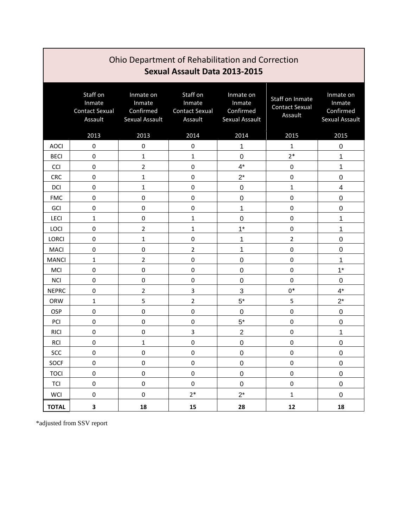| Ohio Department of Rehabilitation and Correction<br>Sexual Assault Data 2013-2015 |                                                        |                                                    |                                                        |                                                    |                                                     |                                                    |  |  |  |  |
|-----------------------------------------------------------------------------------|--------------------------------------------------------|----------------------------------------------------|--------------------------------------------------------|----------------------------------------------------|-----------------------------------------------------|----------------------------------------------------|--|--|--|--|
|                                                                                   | Staff on<br>Inmate<br><b>Contact Sexual</b><br>Assault | Inmate on<br>Inmate<br>Confirmed<br>Sexual Assault | Staff on<br>Inmate<br><b>Contact Sexual</b><br>Assault | Inmate on<br>Inmate<br>Confirmed<br>Sexual Assault | Staff on Inmate<br><b>Contact Sexual</b><br>Assault | Inmate on<br>Inmate<br>Confirmed<br>Sexual Assault |  |  |  |  |
|                                                                                   | 2013                                                   | 2013                                               | 2014                                                   | 2014                                               | 2015                                                | 2015                                               |  |  |  |  |
| <b>AOCI</b>                                                                       | 0                                                      | 0                                                  | 0                                                      | 1                                                  | 1                                                   | 0                                                  |  |  |  |  |
| <b>BECI</b>                                                                       | $\mathbf 0$                                            | 1                                                  | $\mathbf{1}$                                           | $\mathbf 0$                                        | $2*$                                                | 1                                                  |  |  |  |  |
| <b>CCI</b>                                                                        | $\mathbf 0$                                            | $\overline{2}$                                     | $\mathbf 0$                                            | $4^*$                                              | $\mathbf 0$                                         | 1                                                  |  |  |  |  |
| <b>CRC</b>                                                                        | $\mathbf 0$                                            | 1                                                  | $\mathbf 0$                                            | $2^*$                                              | $\mathbf 0$                                         | 0                                                  |  |  |  |  |
| <b>DCI</b>                                                                        | $\mathbf 0$                                            | $\mathbf{1}$                                       | $\mathbf 0$                                            | $\mathbf 0$                                        | $\mathbf{1}$                                        | 4                                                  |  |  |  |  |
| <b>FMC</b>                                                                        | $\mathbf 0$                                            | $\mathbf 0$                                        | $\pmb{0}$                                              | $\mathbf 0$                                        | $\pmb{0}$                                           | $\boldsymbol{0}$                                   |  |  |  |  |
| GCI                                                                               | $\mathbf 0$                                            | $\mathbf 0$                                        | $\mathbf 0$                                            | 1                                                  | $\pmb{0}$                                           | 0                                                  |  |  |  |  |
| <b>LECI</b>                                                                       | $\mathbf{1}$                                           | $\mathbf 0$                                        | $\mathbf 1$                                            | $\mathbf 0$                                        | $\pmb{0}$                                           | 1                                                  |  |  |  |  |
| <b>LOCI</b>                                                                       | $\mathbf 0$                                            | $\overline{2}$                                     | 1                                                      | $1*$                                               | $\mathbf 0$                                         | 1                                                  |  |  |  |  |
| <b>LORCI</b>                                                                      | 0                                                      | 1                                                  | 0                                                      | 1                                                  | $\overline{2}$                                      | 0                                                  |  |  |  |  |
| <b>MACI</b>                                                                       | $\mathbf 0$                                            | $\mathbf 0$                                        | $\overline{2}$                                         | 1                                                  | $\pmb{0}$                                           | 0                                                  |  |  |  |  |
| <b>MANCI</b>                                                                      | 1                                                      | $\overline{2}$                                     | 0                                                      | $\mathbf 0$                                        | 0                                                   | 1                                                  |  |  |  |  |
| MCI                                                                               | $\mathbf 0$                                            | 0                                                  | $\mathbf 0$                                            | $\mathbf 0$                                        | $\mathbf 0$                                         | $1*$                                               |  |  |  |  |
| <b>NCI</b>                                                                        | $\mathbf 0$                                            | $\mathbf 0$                                        | $\mathbf 0$                                            | $\mathbf 0$                                        | $\mathbf 0$                                         | $\mathbf 0$                                        |  |  |  |  |
| <b>NEPRC</b>                                                                      | $\mathbf 0$                                            | $\overline{2}$                                     | 3                                                      | 3                                                  | $0*$                                                | $4^*$                                              |  |  |  |  |
| ORW                                                                               | 1                                                      | 5                                                  | $\overline{2}$                                         | $5*$                                               | 5                                                   | $2^*$                                              |  |  |  |  |
| OSP                                                                               | $\mathbf 0$                                            | $\mathbf 0$                                        | $\mathbf 0$                                            | $\mathbf 0$                                        | $\pmb{0}$                                           | $\mathbf 0$                                        |  |  |  |  |
| PCI                                                                               | $\mathbf 0$                                            | $\mathbf 0$                                        | $\mathbf 0$                                            | $5*$                                               | $\pmb{0}$                                           | $\boldsymbol{0}$                                   |  |  |  |  |
| <b>RICI</b>                                                                       | $\mathbf 0$                                            | 0                                                  | 3                                                      | $\overline{2}$                                     | $\pmb{0}$                                           | 1                                                  |  |  |  |  |
| RCI                                                                               | $\mathbf 0$                                            | $\mathbf{1}$                                       | $\mathbf 0$                                            | $\mathbf 0$                                        | $\pmb{0}$                                           | 0                                                  |  |  |  |  |
| SCC                                                                               | $\pmb{0}$                                              | $\pmb{0}$                                          | $\pmb{0}$                                              | $\pmb{0}$                                          | $\pmb{0}$                                           | $\pmb{0}$                                          |  |  |  |  |
| SOCF                                                                              | $\pmb{0}$                                              | $\pmb{0}$                                          | $\pmb{0}$                                              | $\pmb{0}$                                          | $\pmb{0}$                                           | $\mathsf 0$                                        |  |  |  |  |
| <b>TOCI</b>                                                                       | $\pmb{0}$                                              | $\pmb{0}$                                          | $\pmb{0}$                                              | $\pmb{0}$                                          | $\pmb{0}$                                           | $\pmb{0}$                                          |  |  |  |  |
| TCI                                                                               | $\pmb{0}$                                              | $\pmb{0}$                                          | $\pmb{0}$                                              | $\pmb{0}$                                          | $\pmb{0}$                                           | $\pmb{0}$                                          |  |  |  |  |
| WCI                                                                               | $\pmb{0}$                                              | $\pmb{0}$                                          | $2^\ast$                                               | $2^*$                                              | $\mathbf{1}$                                        | $\pmb{0}$                                          |  |  |  |  |
| <b>TOTAL</b>                                                                      | 3                                                      | 18                                                 | 15                                                     | 28                                                 | 12                                                  | 18                                                 |  |  |  |  |

\*adjusted from SSV report